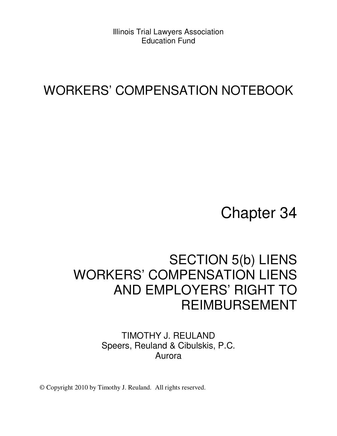Illinois Trial Lawyers Association Education Fund

### WORKERS' COMPENSATION NOTEBOOK

# Chapter 34

## SECTION 5(b) LIENS WORKERS' COMPENSATION LIENS AND EMPLOYERS' RIGHT TO REIMBURSEMENT

#### TIMOTHY J. REULAND Speers, Reuland & Cibulskis, P.C. Aurora

© Copyright 2010 by Timothy J. Reuland. All rights reserved.